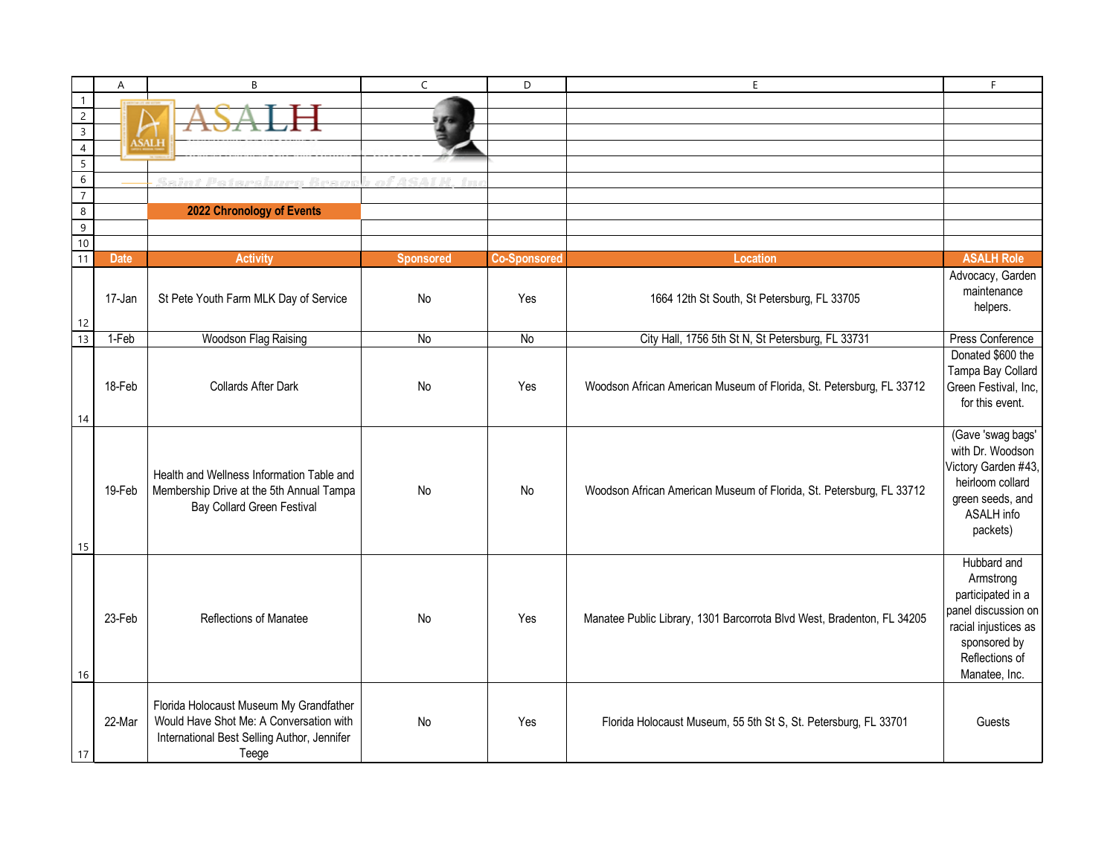|                                  | A           | B                                           | $\mathsf{C}$              | D                   | E                                                                      | F.                   |
|----------------------------------|-------------|---------------------------------------------|---------------------------|---------------------|------------------------------------------------------------------------|----------------------|
| $\overline{1}$                   |             |                                             |                           |                     |                                                                        |                      |
| $\sqrt{2}$                       |             |                                             |                           |                     |                                                                        |                      |
| $\overline{3}$                   |             | <b>ASALH</b>                                |                           |                     |                                                                        |                      |
| $\overline{4}$                   |             |                                             |                           |                     |                                                                        |                      |
| $\overline{5}$                   |             |                                             |                           |                     |                                                                        |                      |
| $\overline{6}$<br>$\overline{7}$ |             | <u>Saint Petersburg Branc</u>               | of ASAI H.<br><b>Inna</b> |                     |                                                                        |                      |
| $\,8\,$                          |             | 2022 Chronology of Events                   |                           |                     |                                                                        |                      |
| $\overline{9}$                   |             |                                             |                           |                     |                                                                        |                      |
| 10                               |             |                                             |                           |                     |                                                                        |                      |
| $\overline{11}$                  | <b>Date</b> | <b>Activity</b>                             | <b>Sponsored</b>          | <b>Co-Sponsored</b> | <b>Location</b>                                                        | <b>ASALH Role</b>    |
|                                  |             |                                             |                           |                     |                                                                        | Advocacy, Garden     |
|                                  | 17-Jan      |                                             | No                        |                     |                                                                        | maintenance          |
|                                  |             | St Pete Youth Farm MLK Day of Service       |                           | Yes                 | 1664 12th St South, St Petersburg, FL 33705                            | helpers.             |
|                                  |             |                                             |                           |                     |                                                                        |                      |
| $\frac{12}{13}$                  | 1-Feb       | Woodson Flag Raising                        | No                        | No                  | City Hall, 1756 5th St N, St Petersburg, FL 33731                      | Press Conference     |
|                                  |             |                                             |                           |                     |                                                                        | Donated \$600 the    |
|                                  |             |                                             |                           |                     |                                                                        | Tampa Bay Collard    |
|                                  | 18-Feb      | Collards After Dark                         | No                        | Yes                 | Woodson African American Museum of Florida, St. Petersburg, FL 33712   | Green Festival, Inc, |
|                                  |             |                                             |                           |                     |                                                                        | for this event.      |
| 14                               |             |                                             |                           |                     |                                                                        |                      |
|                                  |             |                                             |                           |                     |                                                                        | (Gave 'swag bags'    |
|                                  |             |                                             |                           |                     |                                                                        | with Dr. Woodson     |
|                                  |             | Health and Wellness Information Table and   |                           |                     |                                                                        | Victory Garden #43,  |
|                                  | 19-Feb      | Membership Drive at the 5th Annual Tampa    | No                        | No                  | Woodson African American Museum of Florida, St. Petersburg, FL 33712   | heirloom collard     |
|                                  |             | <b>Bay Collard Green Festival</b>           |                           |                     |                                                                        | green seeds, and     |
|                                  |             |                                             |                           |                     |                                                                        | ASALH info           |
|                                  |             |                                             |                           |                     |                                                                        | packets)             |
| 15                               |             |                                             |                           |                     |                                                                        | Hubbard and          |
|                                  |             |                                             |                           |                     |                                                                        | Armstrong            |
|                                  |             |                                             |                           |                     |                                                                        | participated in a    |
|                                  |             |                                             |                           |                     |                                                                        | panel discussion on  |
|                                  | 23-Feb      | Reflections of Manatee                      | No                        | Yes                 | Manatee Public Library, 1301 Barcorrota Blvd West, Bradenton, FL 34205 | racial injustices as |
|                                  |             |                                             |                           |                     |                                                                        | sponsored by         |
|                                  |             |                                             |                           |                     |                                                                        | Reflections of       |
| 16                               |             |                                             |                           |                     |                                                                        | Manatee, Inc.        |
|                                  |             |                                             |                           |                     |                                                                        |                      |
|                                  |             | Florida Holocaust Museum My Grandfather     |                           |                     |                                                                        |                      |
|                                  | 22-Mar      | Would Have Shot Me: A Conversation with     | No                        | Yes                 | Florida Holocaust Museum, 55 5th St S, St. Petersburg, FL 33701        | Guests               |
|                                  |             | International Best Selling Author, Jennifer |                           |                     |                                                                        |                      |
| 17                               |             | Teege                                       |                           |                     |                                                                        |                      |